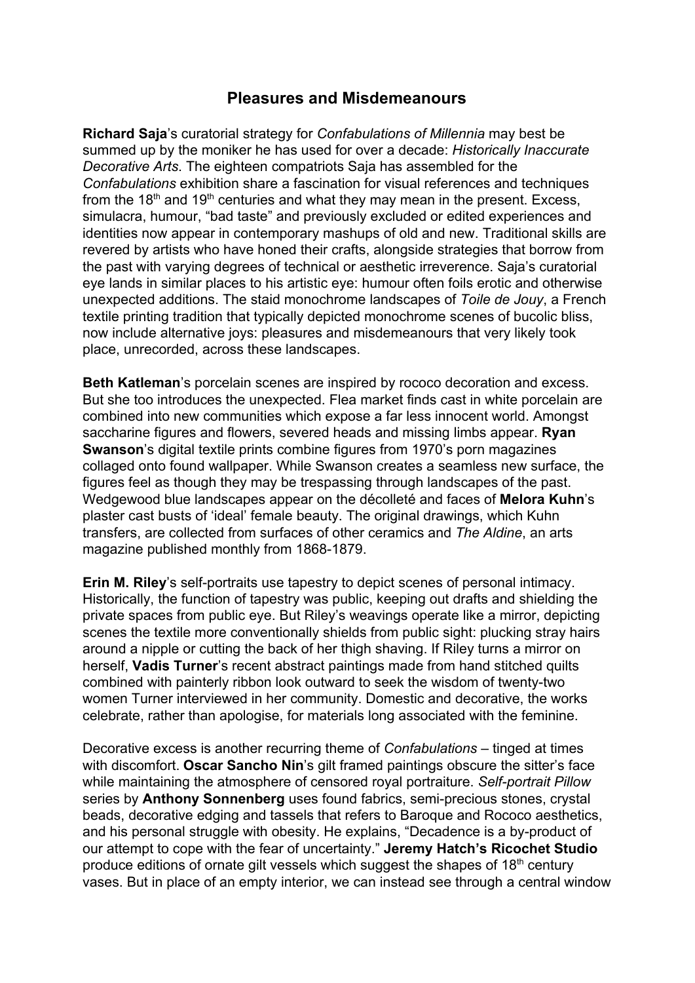## **Pleasures and Misdemeanours**

**Richard Saja**'s curatorial strategy for *Confabulations of Millennia* may best be summed up by the moniker he has used for over a decade: *Historically Inaccurate Decorative Arts*. The eighteen compatriots Saja has assembled for the *Confabulations* exhibition share a fascination for visual references and techniques from the 18<sup>th</sup> and 19<sup>th</sup> centuries and what they may mean in the present. Excess, simulacra, humour, "bad taste" and previously excluded or edited experiences and identities now appear in contemporary mashups of old and new. Traditional skills are revered by artists who have honed their crafts, alongside strategies that borrow from the past with varying degrees of technical or aesthetic irreverence. Saja's curatorial eye lands in similar places to his artistic eye: humour often foils erotic and otherwise unexpected additions. The staid monochrome landscapes of *Toile de Jouy*, a French textile printing tradition that typically depicted monochrome scenes of bucolic bliss, now include alternative joys: pleasures and misdemeanours that very likely took place, unrecorded, across these landscapes.

**Beth Katleman**'s porcelain scenes are inspired by rococo decoration and excess. But she too introduces the unexpected. Flea market finds cast in white porcelain are combined into new communities which expose a far less innocent world. Amongst saccharine figures and flowers, severed heads and missing limbs appear. **Ryan Swanson**'s digital textile prints combine figures from 1970's porn magazines collaged onto found wallpaper. While Swanson creates a seamless new surface, the figures feel as though they may be trespassing through landscapes of the past. Wedgewood blue landscapes appear on the décolleté and faces of **Melora Kuhn**'s plaster cast busts of 'ideal' female beauty. The original drawings, which Kuhn transfers, are collected from surfaces of other ceramics and *The Aldine*, an arts magazine published monthly from 1868-1879.

**Erin M. Riley**'s self-portraits use tapestry to depict scenes of personal intimacy. Historically, the function of tapestry was public, keeping out drafts and shielding the private spaces from public eye. But Riley's weavings operate like a mirror, depicting scenes the textile more conventionally shields from public sight: plucking stray hairs around a nipple or cutting the back of her thigh shaving. If Riley turns a mirror on herself, **Vadis Turner**'s recent abstract paintings made from hand stitched quilts combined with painterly ribbon look outward to seek the wisdom of twenty-two women Turner interviewed in her community. Domestic and decorative, the works celebrate, rather than apologise, for materials long associated with the feminine.

Decorative excess is another recurring theme of *Confabulations* – tinged at times with discomfort. **Oscar Sancho Nin**'s gilt framed paintings obscure the sitter's face while maintaining the atmosphere of censored royal portraiture. *Self-portrait Pillow* series by **Anthony Sonnenberg** uses found fabrics, semi-precious stones, crystal beads, decorative edging and tassels that refers to Baroque and Rococo aesthetics, and his personal struggle with obesity. He explains, "Decadence is a by-product of our attempt to cope with the fear of uncertainty." **Jeremy Hatch's Ricochet Studio** produce editions of ornate gilt vessels which suggest the shapes of  $18<sup>th</sup>$  century vases. But in place of an empty interior, we can instead see through a central window